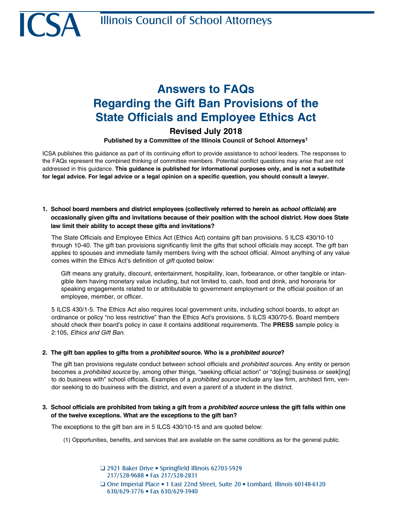# **Answers to FAQs Regarding the Gift Ban Provisions of the State Officials and Employee Ethics Act**

# **Revised July 2018**

# **Published by a Committee of the Illinois Council of School Attorneys1**

ICSA publishes this guidance as part of its continuing effort to provide assistance to school leaders. The responses to the FAQs represent the combined thinking of committee members. Potential conflict questions may arise that are not addressed in this guidance. **This guidance is published for informational purposes only, and is not a substitute for legal advice. For legal advice or a legal opinion on a specific question, you should consult a lawyer.**

**1. School board members and district employees (collectively referred to herein as** *school officials***) are occasionally given gifts and invitations because of their position with the school district. How does State law limit their ability to accept these gifts and invitations?**

The State Officials and Employee Ethics Act (Ethics Act) contains gift ban provisions. 5 ILCS 430/10-10 through 10-40. The gift ban provisions significantly limit the gifts that school officials may accept. The gift ban applies to spouses and immediate family members living with the school official. Almost anything of any value comes within the Ethics Act's definition of *gift* quoted below:

Gift means any gratuity, discount, entertainment, hospitality, loan, forbearance, or other tangible or intangible item having monetary value including, but not limited to, cash, food and drink, and honoraria for speaking engagements related to or attributable to government employment or the official position of an employee, member, or officer.

5 ILCS 430/1-5. The Ethics Act also requires local government units, including school boards, to adopt an ordinance or policy "no less restrictive" than the Ethics Act's provisions. 5 ILCS 430/70-5. Board members should check their board's policy in case it contains additional requirements. The **PRESS** sample policy is 2:105, *Ethics and Gift Ban*.

#### **2. The gift ban applies to gifts from a** *prohibited* **source. Who is a** *prohibited source***?**

The gift ban provisions regulate conduct between school officials and *prohibited sources*. Any entity or person becomes a *prohibited source* by, among other things, "seeking official action" or "do[ing] business or seek[ing] to do business with" school officials. Examples of a *prohibited source* include any law firm, architect firm, vendor seeking to do business with the district, and even a parent of a student in the district.

# **3. School officials are prohibited from taking a gift from a** *prohibited source* **unless the gift falls within one of the twelve exceptions. What are the exceptions to the gift ban?**

The exceptions to the gift ban are in 5 ILCS 430/10-15 and are quoted below:

(1) Opportunities, benefits, and services that are available on the same conditions as for the general public.

□ 2921 Baker Drive • Springfield Illinois 62703-5929 217/528-9688 • Fax 217/528-2831 Q One Imperial Place • 1 East 22nd Street, Suite 20 • Lombard, Illinois 60148-6120 630/629-3776 • Fax 630/629-3940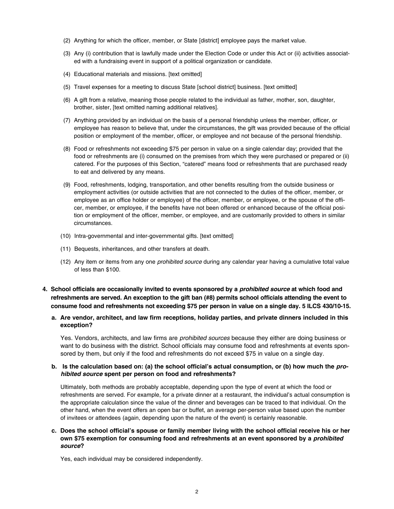- (2) Anything for which the officer, member, or State [district] employee pays the market value.
- (3) Any (i) contribution that is lawfully made under the Election Code or under this Act or (ii) activities associated with a fundraising event in support of a political organization or candidate.
- (4) Educational materials and missions. [text omitted]
- (5) Travel expenses for a meeting to discuss State [school district] business. [text omitted]
- (6) A gift from a relative, meaning those people related to the individual as father, mother, son, daughter, brother, sister, [text omitted naming additional relatives].
- (7) Anything provided by an individual on the basis of a personal friendship unless the member, officer, or employee has reason to believe that, under the circumstances, the gift was provided because of the official position or employment of the member, officer, or employee and not because of the personal friendship.
- (8) Food or refreshments not exceeding \$75 per person in value on a single calendar day; provided that the food or refreshments are (i) consumed on the premises from which they were purchased or prepared or (ii) catered. For the purposes of this Section, "catered" means food or refreshments that are purchased ready to eat and delivered by any means.
- (9) Food, refreshments, lodging, transportation, and other benefits resulting from the outside business or employment activities (or outside activities that are not connected to the duties of the officer, member, or employee as an office holder or employee) of the officer, member, or employee, or the spouse of the officer, member, or employee, if the benefits have not been offered or enhanced because of the official position or employment of the officer, member, or employee, and are customarily provided to others in similar circumstances.
- (10) Intra-governmental and inter-governmental gifts. [text omitted]
- (11) Bequests, inheritances, and other transfers at death.
- (12) Any item or items from any one *prohibited source* during any calendar year having a cumulative total value of less than \$100.
- **4. School officials are occasionally invited to events sponsored by a** *prohibited source* **at which food and refreshments are served. An exception to the gift ban (#8) permits school officials attending the event to consume food and refreshments not exceeding \$75 per person in value on a single day. 5 ILCS 430/10-15.**

#### **a. Are vendor, architect, and law firm receptions, holiday parties, and private dinners included in this exception?**

Yes. Vendors, architects, and law firms are *prohibited sources* because they either are doing business or want to do business with the district. School officials may consume food and refreshments at events sponsored by them, but only if the food and refreshments do not exceed \$75 in value on a single day.

#### **b. Is the calculation based on: (a) the school official's actual consumption, or (b) how much the** *prohibited source* **spent per person on food and refreshments?**

Ultimately, both methods are probably acceptable, depending upon the type of event at which the food or refreshments are served. For example, for a private dinner at a restaurant, the individual's actual consumption is the appropriate calculation since the value of the dinner and beverages can be traced to that individual. On the other hand, when the event offers an open bar or buffet, an average per-person value based upon the number of invitees or attendees (again, depending upon the nature of the event) is certainly reasonable.

#### **c. Does the school official's spouse or family member living with the school official receive his or her own \$75 exemption for consuming food and refreshments at an event sponsored by a** *prohibited source***?**

Yes, each individual may be considered independently.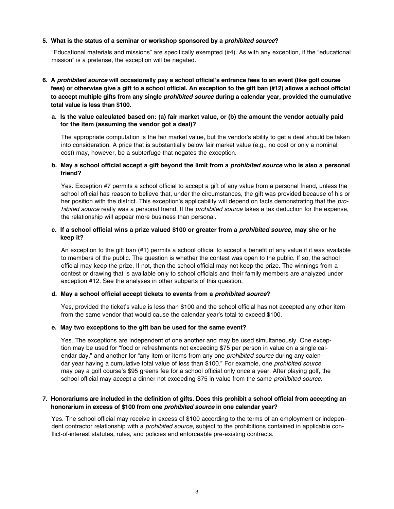#### **5. What is the status of a seminar or workshop sponsored by a** *prohibited source***?**

"Educational materials and missions" are specifically exempted (#4). As with any exception, if the "educational mission" is a pretense, the exception will be negated.

- **6. A** *prohibited source* **will occasionally pay a school official's entrance fees to an event (like golf course fees) or otherwise give a gift to a school official. An exception to the gift ban (#12) allows a school official to accept multiple gifts from any single** *prohibited source* **during a calendar year, provided the cumulative total value is less than \$100.**
	- **a. Is the value calculated based on: (a) fair market value, or (b) the amount the vendor actually paid for the item (assuming the vendor got a deal)?**

The appropriate computation is the fair market value, but the vendor's ability to get a deal should be taken into consideration. A price that is substantially below fair market value (e.g., no cost or only a nominal cost) may, however, be a subterfuge that negates the exception.

#### **b. May a school official accept a gift beyond the limit from a** *prohibited source* **who is also a personal friend?**

Yes. Exception #7 permits a school official to accept a gift of any value from a personal friend, unless the school official has reason to believe that, under the circumstances, the gift was provided because of his or her position with the district. This exception's applicability will depend on facts demonstrating that the *prohibited source* really was a personal friend. If the *prohibited source* takes a tax deduction for the expense, the relationship will appear more business than personal.

#### **c. If a school official wins a prize valued \$100 or greater from a** *prohibited source***, may she or he keep it?**

An exception to the gift ban (#1) permits a school official to accept a benefit of any value if it was available to members of the public. The question is whether the contest was open to the public. If so, the school official may keep the prize. If not, then the school official may not keep the prize. The winnings from a contest or drawing that is available only to school officials and their family members are analyzed under exception #12. See the analyses in other subparts of this question.

#### **d. May a school official accept tickets to events from a** *prohibited source***?**

Yes, provided the ticket's value is less than \$100 and the school official has not accepted any other item from the same vendor that would cause the calendar year's total to exceed \$100.

#### **e. May two exceptions to the gift ban be used for the same event?**

Yes. The exceptions are independent of one another and may be used simultaneously. One exception may be used for "food or refreshments not exceeding \$75 per person in value on a single calendar day," and another for "any item or items from any one *prohibited source* during any calendar year having a cumulative total value of less than \$100." For example, one *prohibited source* may pay a golf course's \$95 greens fee for a school official only once a year. After playing golf, the school official may accept a dinner not exceeding \$75 in value from the same *prohibited source*.

#### **7. Honorariums are included in the definition of gifts. Does this prohibit a school official from accepting an honorarium in excess of \$100 from one** *prohibited source* **in one calendar year?**

Yes. The school official may receive in excess of \$100 according to the terms of an employment or independent contractor relationship with a *prohibited source*, subject to the prohibitions contained in applicable conflict-of-interest statutes, rules, and policies and enforceable pre-existing contracts.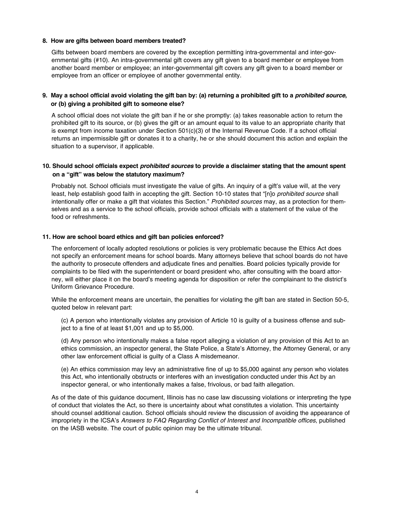#### **8. How are gifts between board members treated?**

Gifts between board members are covered by the exception permitting intra-governmental and inter-governmental gifts (#10). An intra-governmental gift covers any gift given to a board member or employee from another board member or employee; an inter-governmental gift covers any gift given to a board member or employee from an officer or employee of another governmental entity.

# **9. May a school official avoid violating the gift ban by: (a) returning a prohibited gift to a** *prohibited source***, or (b) giving a prohibited gift to someone else?**

A school official does not violate the gift ban if he or she promptly: (a) takes reasonable action to return the prohibited gift to its source, or (b) gives the gift or an amount equal to its value to an appropriate charity that is exempt from income taxation under Section 501(c)(3) of the Internal Revenue Code. If a school official returns an impermissible gift or donates it to a charity, he or she should document this action and explain the situation to a supervisor, if applicable.

## **10. Should school officials expect** *prohibited sources* **to provide a disclaimer stating that the amount spent on a "gift" was below the statutory maximum?**

Probably not. School officials must investigate the value of gifts. An inquiry of a gift's value will, at the very least, help establish good faith in accepting the gift. Section 10-10 states that "[n]o *prohibited source* shall intentionally offer or make a gift that violates this Section." *Prohibited sources* may, as a protection for themselves and as a service to the school officials, provide school officials with a statement of the value of the food or refreshments.

#### **11. How are school board ethics and gift ban policies enforced?**

The enforcement of locally adopted resolutions or policies is very problematic because the Ethics Act does not specify an enforcement means for school boards. Many attorneys believe that school boards do not have the authority to prosecute offenders and adjudicate fines and penalties. Board policies typically provide for complaints to be filed with the superintendent or board president who, after consulting with the board attorney, will either place it on the board's meeting agenda for disposition or refer the complainant to the district's Uniform Grievance Procedure.

While the enforcement means are uncertain, the penalties for violating the gift ban are stated in Section 50-5, quoted below in relevant part:

(c) A person who intentionally violates any provision of Article 10 is guilty of a business offense and subject to a fine of at least \$1,001 and up to \$5,000.

(d) Any person who intentionally makes a false report alleging a violation of any provision of this Act to an ethics commission, an inspector general, the State Police, a State's Attorney, the Attorney General, or any other law enforcement official is guilty of a Class A misdemeanor.

(e) An ethics commission may levy an administrative fine of up to \$5,000 against any person who violates this Act, who intentionally obstructs or interferes with an investigation conducted under this Act by an inspector general, or who intentionally makes a false, frivolous, or bad faith allegation.

As of the date of this guidance document, Illinois has no case law discussing violations or interpreting the type of conduct that violates the Act, so there is uncertainty about what constitutes a violation. This uncertainty should counsel additional caution. School officials should review the discussion of avoiding the appearance of impropriety in the ICSA's *Answers to FAQ Regarding Conflict of Interest and Incompatible offices*, published on the IASB website. The court of public opinion may be the ultimate tribunal.